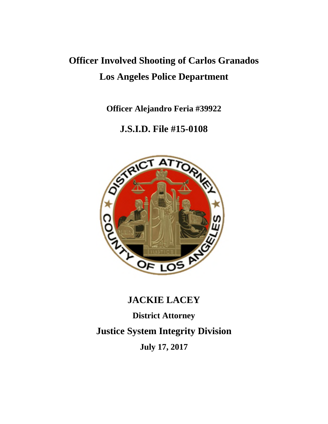# **Officer Involved Shooting of Carlos Granados Los Angeles Police Department**

**Officer Alejandro Feria #39922**

# **J.S.I.D. File #15-0108**



## **JACKIE LACEY**

**District Attorney Justice System Integrity Division July 17, 2017**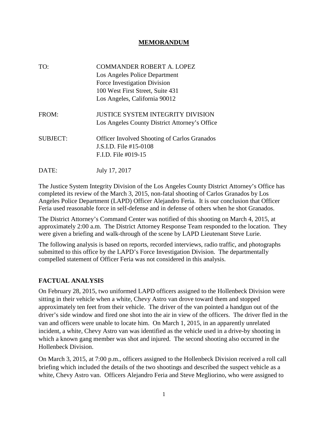#### **MEMORANDUM**

| TO:             | <b>COMMANDER ROBERT A. LOPEZ</b>                    |
|-----------------|-----------------------------------------------------|
|                 | Los Angeles Police Department                       |
|                 | Force Investigation Division                        |
|                 | 100 West First Street, Suite 431                    |
|                 | Los Angeles, California 90012                       |
| FROM:           | <b>JUSTICE SYSTEM INTEGRITY DIVISION</b>            |
|                 | Los Angeles County District Attorney's Office       |
| <b>SUBJECT:</b> | <b>Officer Involved Shooting of Carlos Granados</b> |
|                 | J.S.I.D. File #15-0108                              |
|                 | F.I.D. File $\#019-15$                              |
| DATE:           | July 17, 2017                                       |

The Justice System Integrity Division of the Los Angeles County District Attorney's Office has completed its review of the March 3, 2015, non-fatal shooting of Carlos Granados by Los Angeles Police Department (LAPD) Officer Alejandro Feria. It is our conclusion that Officer Feria used reasonable force in self-defense and in defense of others when he shot Granados.

The District Attorney's Command Center was notified of this shooting on March 4, 2015, at approximately 2:00 a.m. The District Attorney Response Team responded to the location. They were given a briefing and walk-through of the scene by LAPD Lieutenant Steve Lurie.

The following analysis is based on reports, recorded interviews, radio traffic, and photographs submitted to this office by the LAPD's Force Investigation Division. The departmentally compelled statement of Officer Feria was not considered in this analysis.

#### **FACTUAL ANALYSIS**

On February 28, 2015, two uniformed LAPD officers assigned to the Hollenbeck Division were sitting in their vehicle when a white, Chevy Astro van drove toward them and stopped approximately ten feet from their vehicle. The driver of the van pointed a handgun out of the driver's side window and fired one shot into the air in view of the officers. The driver fled in the van and officers were unable to locate him. On March 1, 2015, in an apparently unrelated incident, a white, Chevy Astro van was identified as the vehicle used in a drive-by shooting in which a known gang member was shot and injured. The second shooting also occurred in the Hollenbeck Division.

On March 3, 2015, at 7:00 p.m., officers assigned to the Hollenbeck Division received a roll call briefing which included the details of the two shootings and described the suspect vehicle as a white, Chevy Astro van. Officers Alejandro Feria and Steve Megliorino, who were assigned to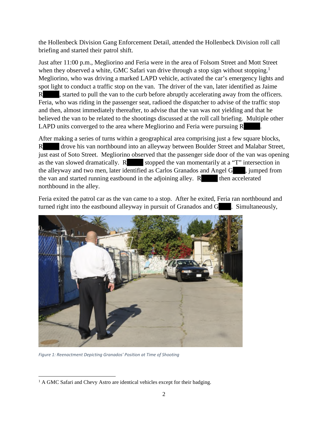the Hollenbeck Division Gang Enforcement Detail, attended the Hollenbeck Division roll call briefing and started their patrol shift.

Just after 11:00 p.m., Megliorino and Feria were in the area of Folsom Street and Mott Street when they observed a white, GMC Safari van drive through a stop sign without stopping.<sup>1</sup> Megliorino, who was driving a marked LAPD vehicle, activated the car's emergency lights and spot light to conduct a traffic stop on the van. The driver of the van, later identified as Jaime R started to pull the van to the curb before abruptly accelerating away from the officers. Feria, who was riding in the passenger seat, radioed the dispatcher to advise of the traffic stop and then, almost immediately thereafter, to advise that the van was not yielding and that he believed the van to be related to the shootings discussed at the roll call briefing. Multiple other LAPD units converged to the area where Megliorino and Feria were pursuing R .

After making a series of turns within a geographical area comprising just a few square blocks, R drove his van northbound into an alleyway between Boulder Street and Malabar Street, just east of Soto Street. Megliorino observed that the passenger side door of the van was opening as the van slowed dramatically.  $R$  stopped the van momentarily at a "T" intersection in the alleyway and two men, later identified as Carlos Granados and Angel G , jumped from the van and started running eastbound in the adjoining alley. R then accelerated northbound in the alley.

Feria exited the patrol car as the van came to a stop. After he exited, Feria ran northbound and turned right into the eastbound alleyway in pursuit of Granados and G . Simultaneously,



*Figure 1: Reenactment Depicting Granados' Position at Time of Shooting*

<sup>&</sup>lt;sup>1</sup> A GMC Safari and Chevy Astro are identical vehicles except for their badging.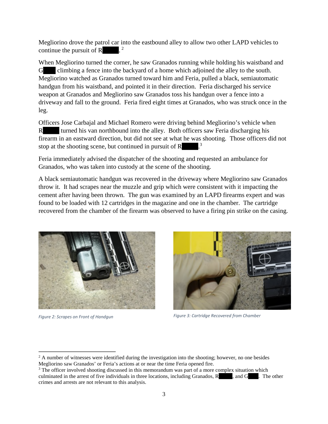Megliorino drove the patrol car into the eastbound alley to allow two other LAPD vehicles to continue the pursuit of R  $\cdot$ <sup>2</sup>

When Megliorino turned the corner, he saw Granados running while holding his waistband and G climbing a fence into the backyard of a home which adjoined the alley to the south. Megliorino watched as Granados turned toward him and Feria, pulled a black, semiautomatic handgun from his waistband, and pointed it in their direction. Feria discharged his service weapon at Granados and Megliorino saw Granados toss his handgun over a fence into a driveway and fall to the ground. Feria fired eight times at Granados, who was struck once in the leg.

Officers Jose Carbajal and Michael Romero were driving behind Megliorino's vehicle when R turned his van northbound into the alley. Both officers saw Feria discharging his firearm in an eastward direction, but did not see at what he was shooting. Those officers did not stop at the shooting scene, but continued in pursuit of  $\mathbb{R}$  .<sup>3</sup>

Feria immediately advised the dispatcher of the shooting and requested an ambulance for Granados, who was taken into custody at the scene of the shooting.

A black semiautomatic handgun was recovered in the driveway where Megliorino saw Granados throw it. It had scrapes near the muzzle and grip which were consistent with it impacting the cement after having been thrown. The gun was examined by an LAPD firearms expert and was found to be loaded with 12 cartridges in the magazine and one in the chamber. The cartridge recovered from the chamber of the firearm was observed to have a firing pin strike on the casing.



*Figure 2: Scrapes on Front of Handgun*



*Figure 3: Cartridge Recovered from Chamber*

 $2$  A number of witnesses were identified during the investigation into the shooting; however, no one besides Megliorino saw Granados' or Feria's actions at or near the time Feria opened fire.

<sup>&</sup>lt;sup>3</sup> The officer involved shooting discussed in this memorandum was part of a more complex situation which culminated in the arrest of five individuals in three locations, including Granados, R , and G . The other crimes and arrests are not relevant to this analysis.